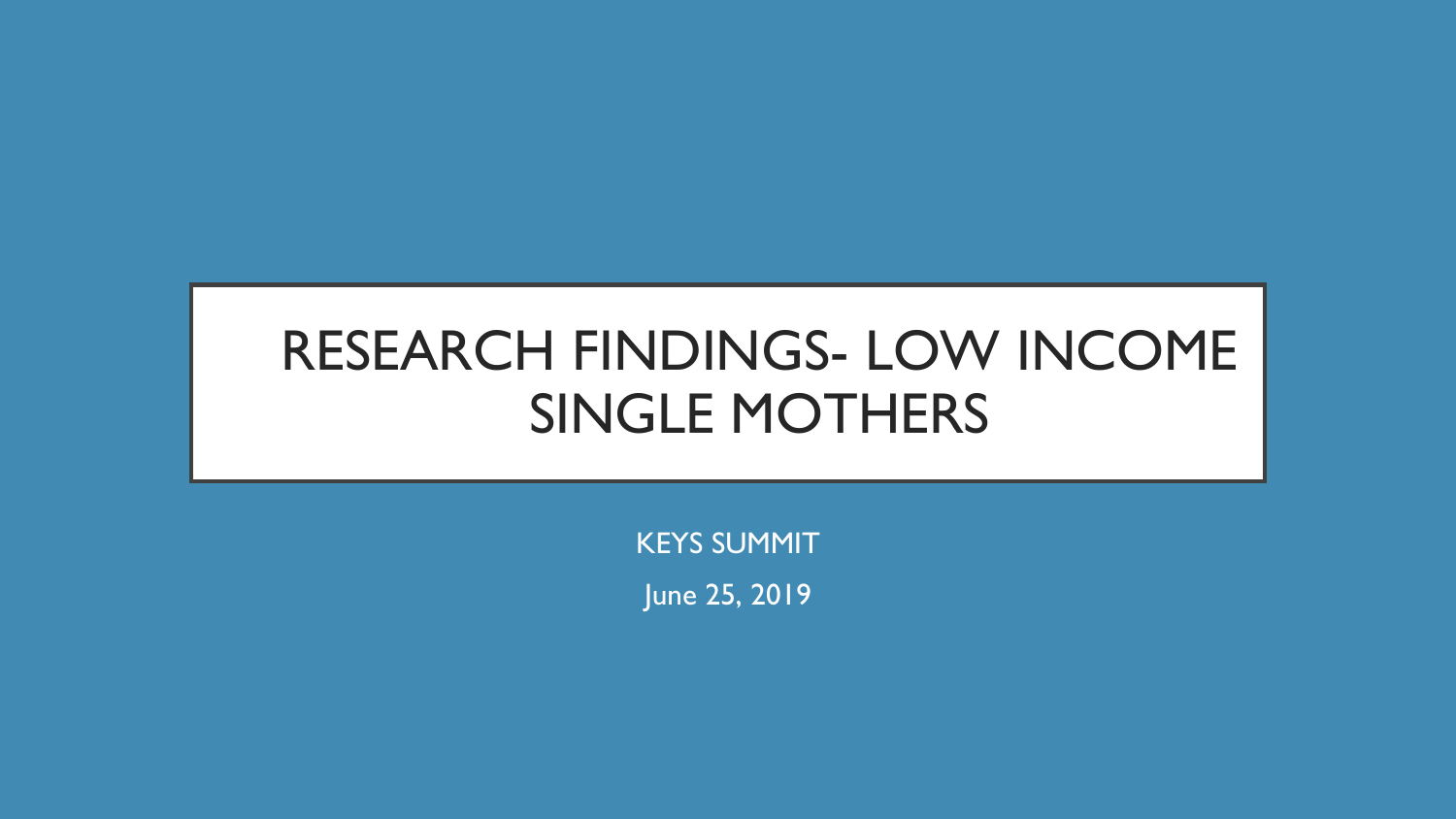# RESEARCH FINDINGS- LOW INCOME SINGLE MOTHERS

KEYS SUMMIT

June 25, 2019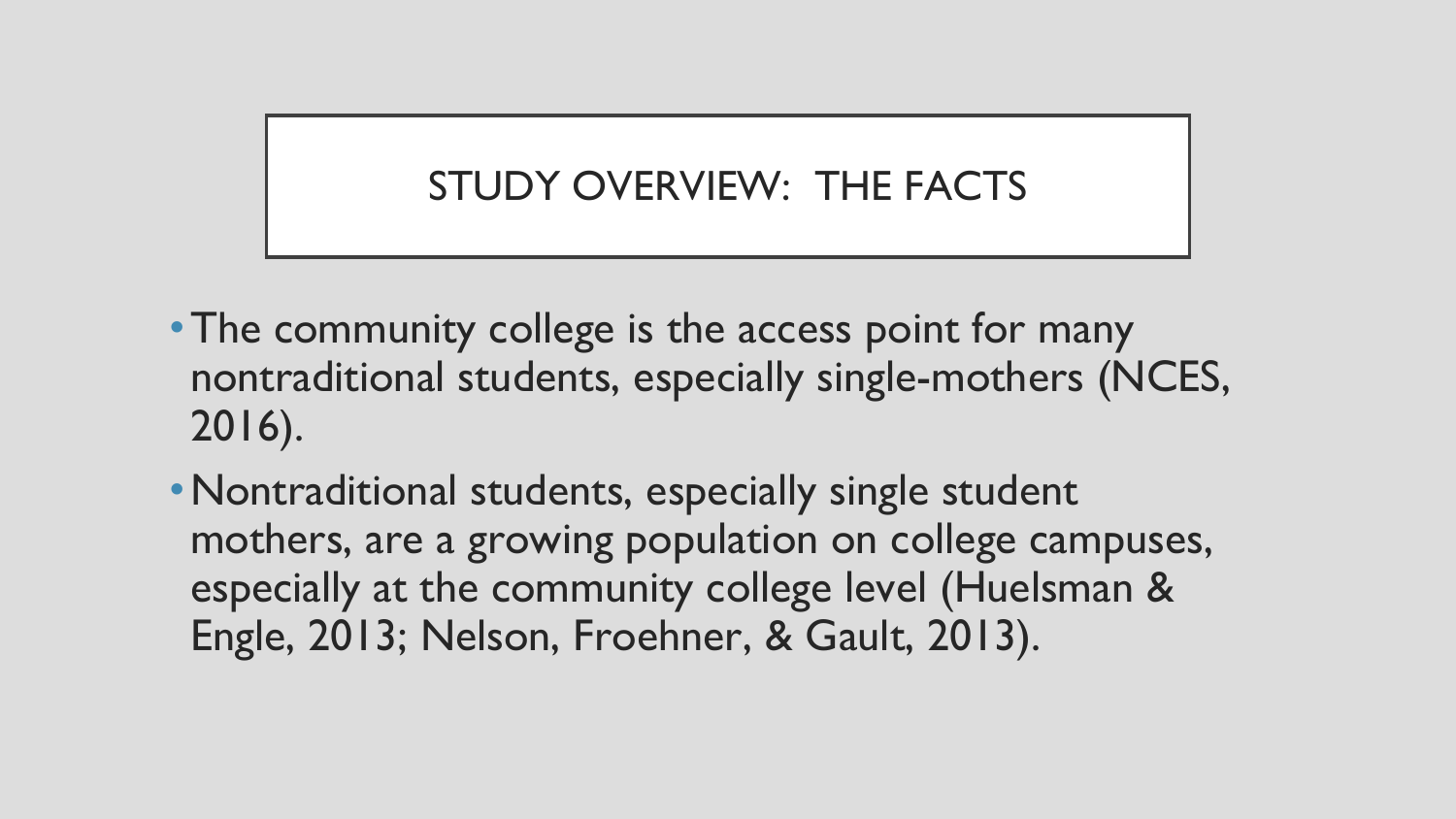### STUDY OVERVIEW: THE FACTS

- The community college is the access point for many nontraditional students, especially single-mothers (NCES, 2016).
- •Nontraditional students, especially single student mothers, are a growing population on college campuses, especially at the community college level (Huelsman & Engle, 2013; Nelson, Froehner, & Gault, 2013).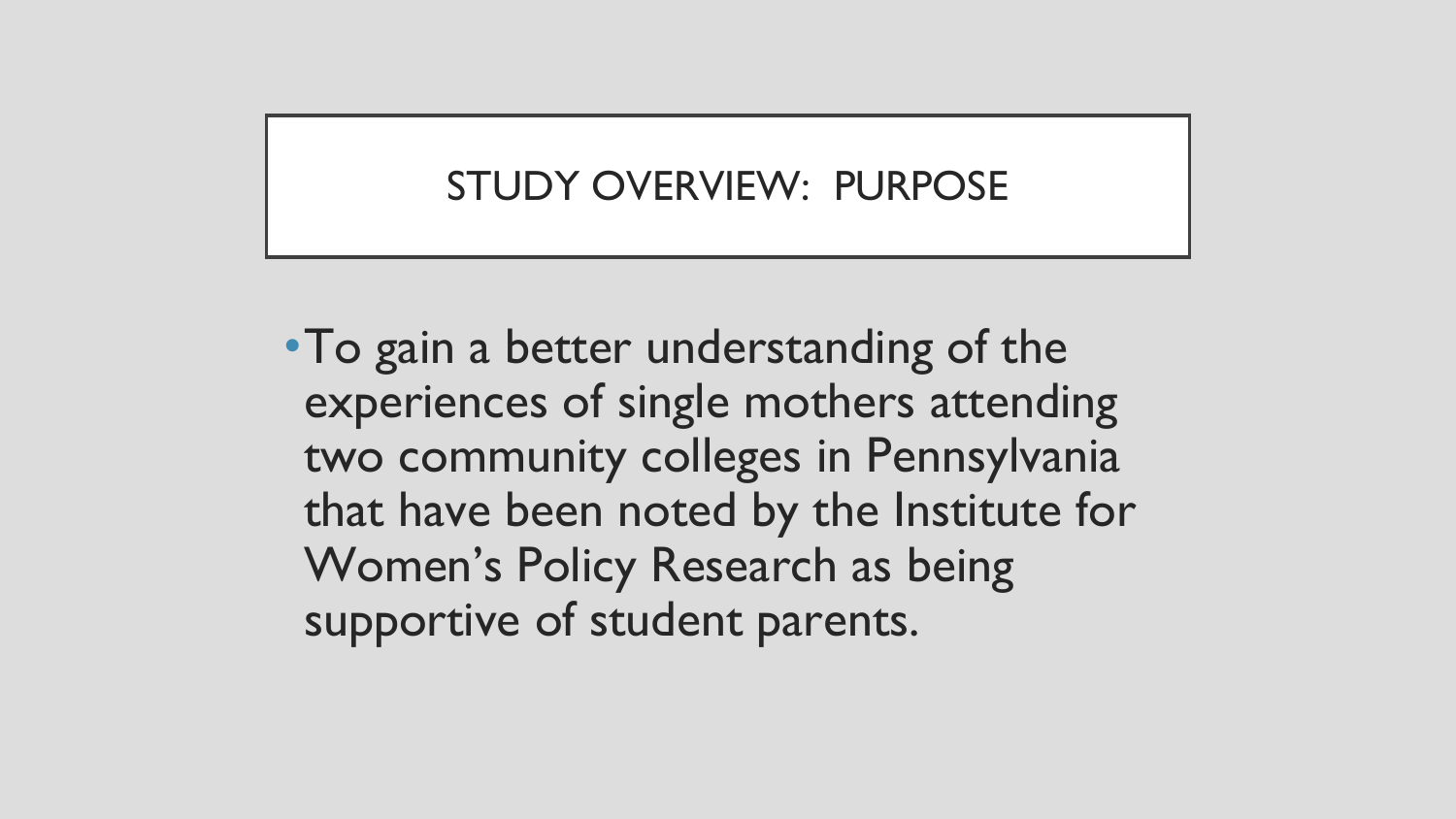### STUDY OVERVIEW: PURPOSE

•To gain a better understanding of the experiences of single mothers attending two community colleges in Pennsylvania that have been noted by the Institute for Women's Policy Research as being supportive of student parents.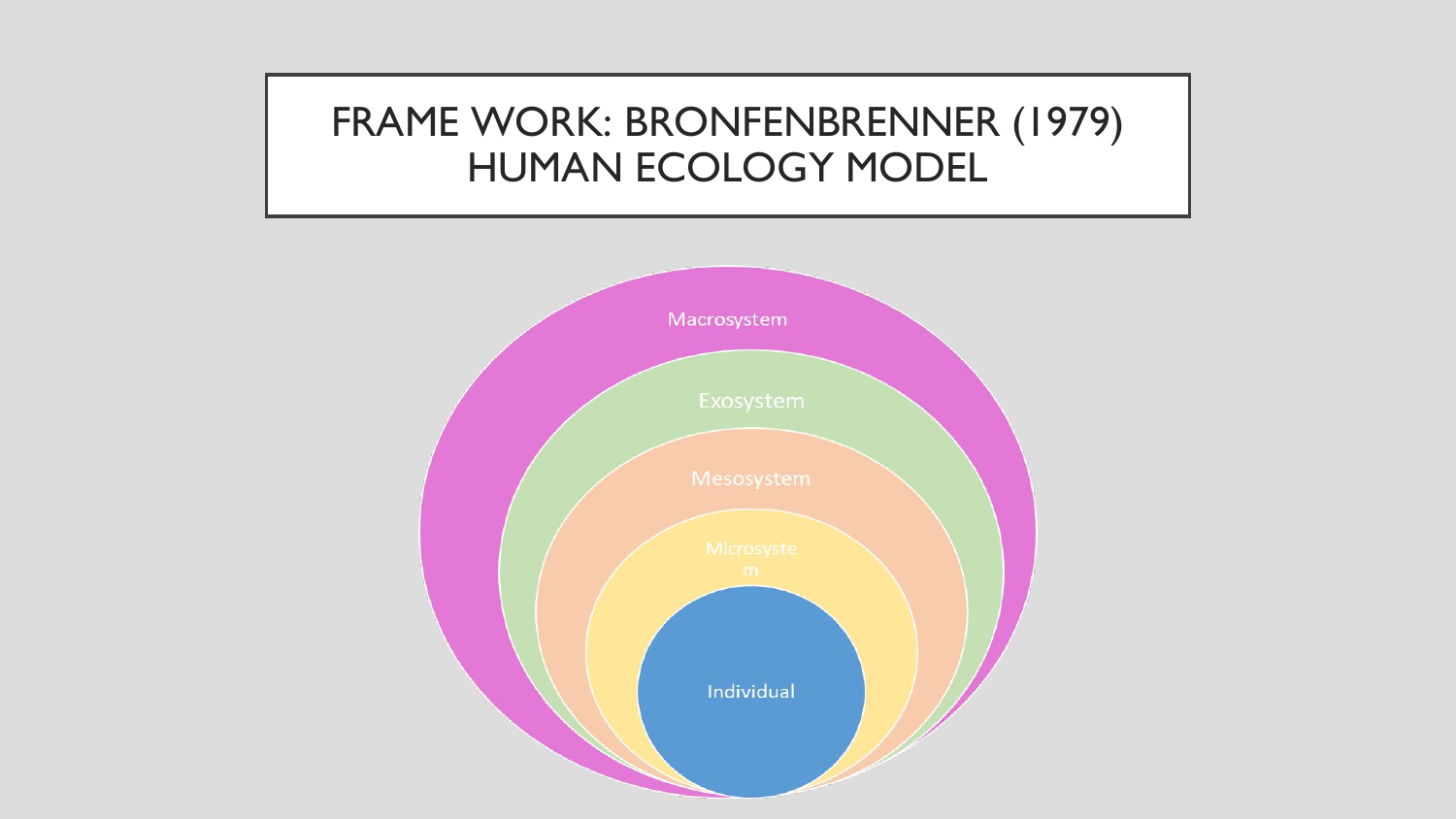### FRAME WORK: BRONFENBRENNER (1979) HUMAN ECOLOGY MODEL

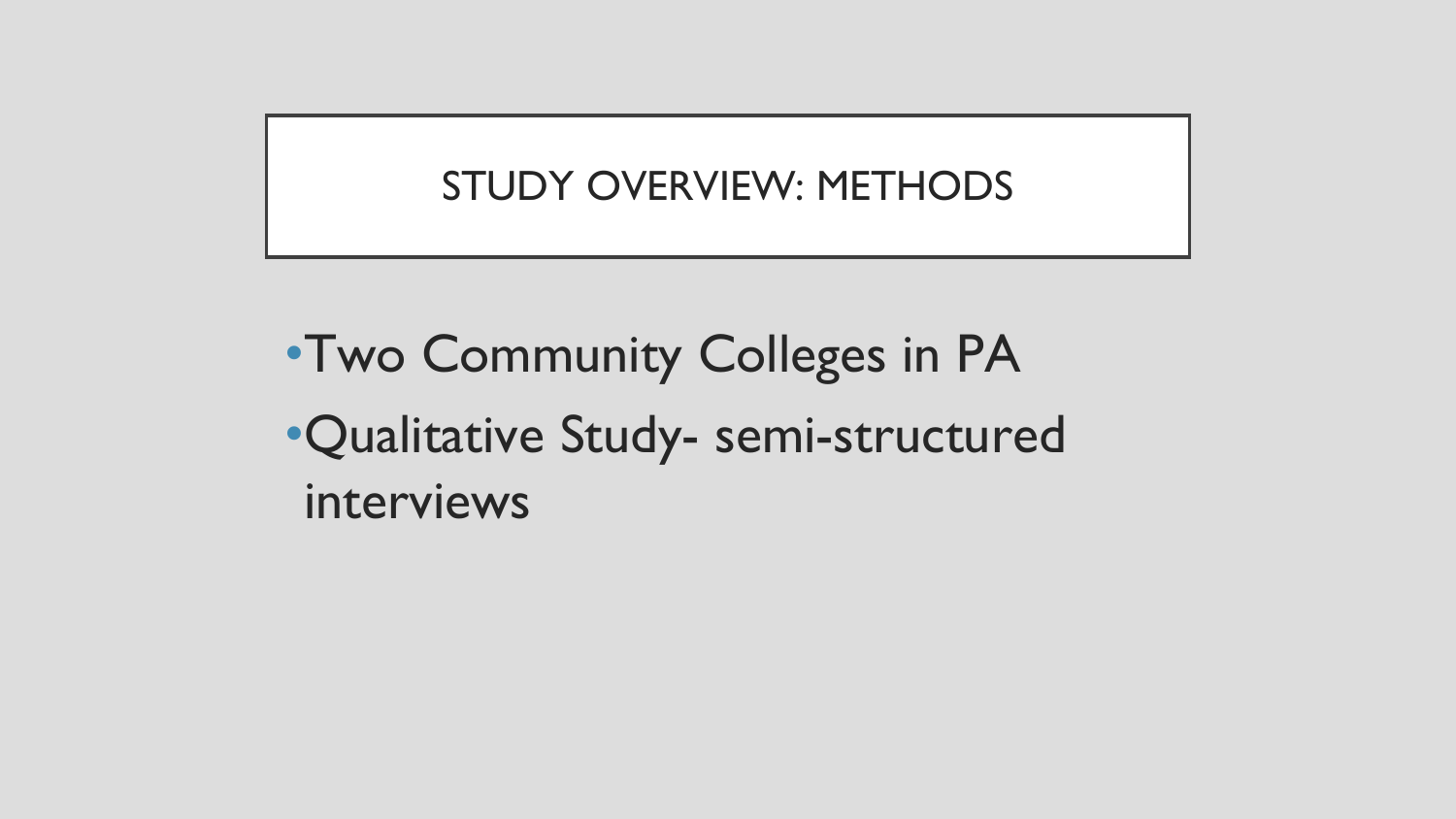### STUDY OVERVIEW: METHODS

•Two Community Colleges in PA •Qualitative Study- semi-structured interviews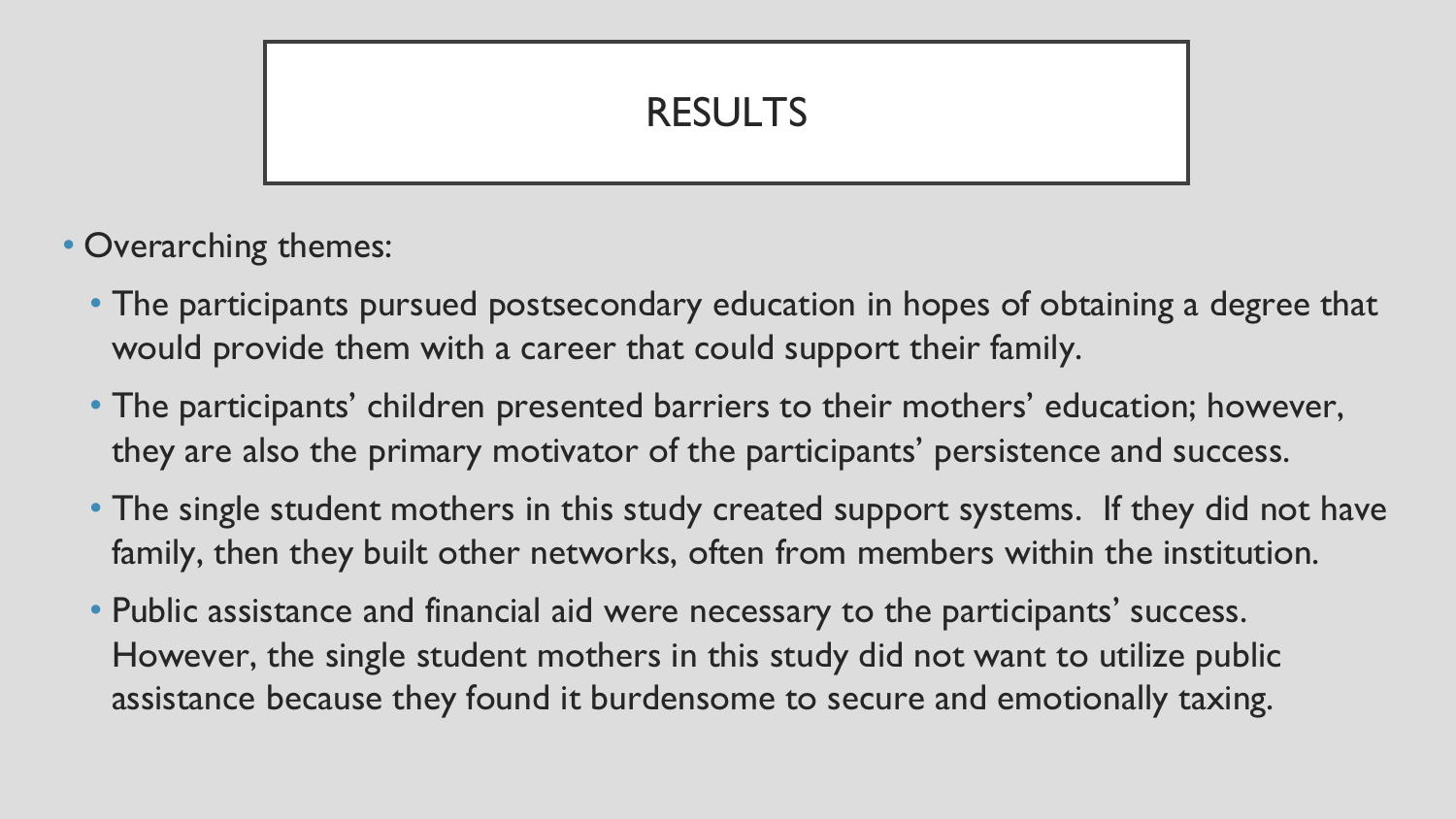### RESULTS

- Overarching themes:
	- The participants pursued postsecondary education in hopes of obtaining a degree that would provide them with a career that could support their family.
	- The participants' children presented barriers to their mothers' education; however, they are also the primary motivator of the participants' persistence and success.
	- The single student mothers in this study created support systems. If they did not have family, then they built other networks, often from members within the institution.
	- Public assistance and financial aid were necessary to the participants' success. However, the single student mothers in this study did not want to utilize public assistance because they found it burdensome to secure and emotionally taxing.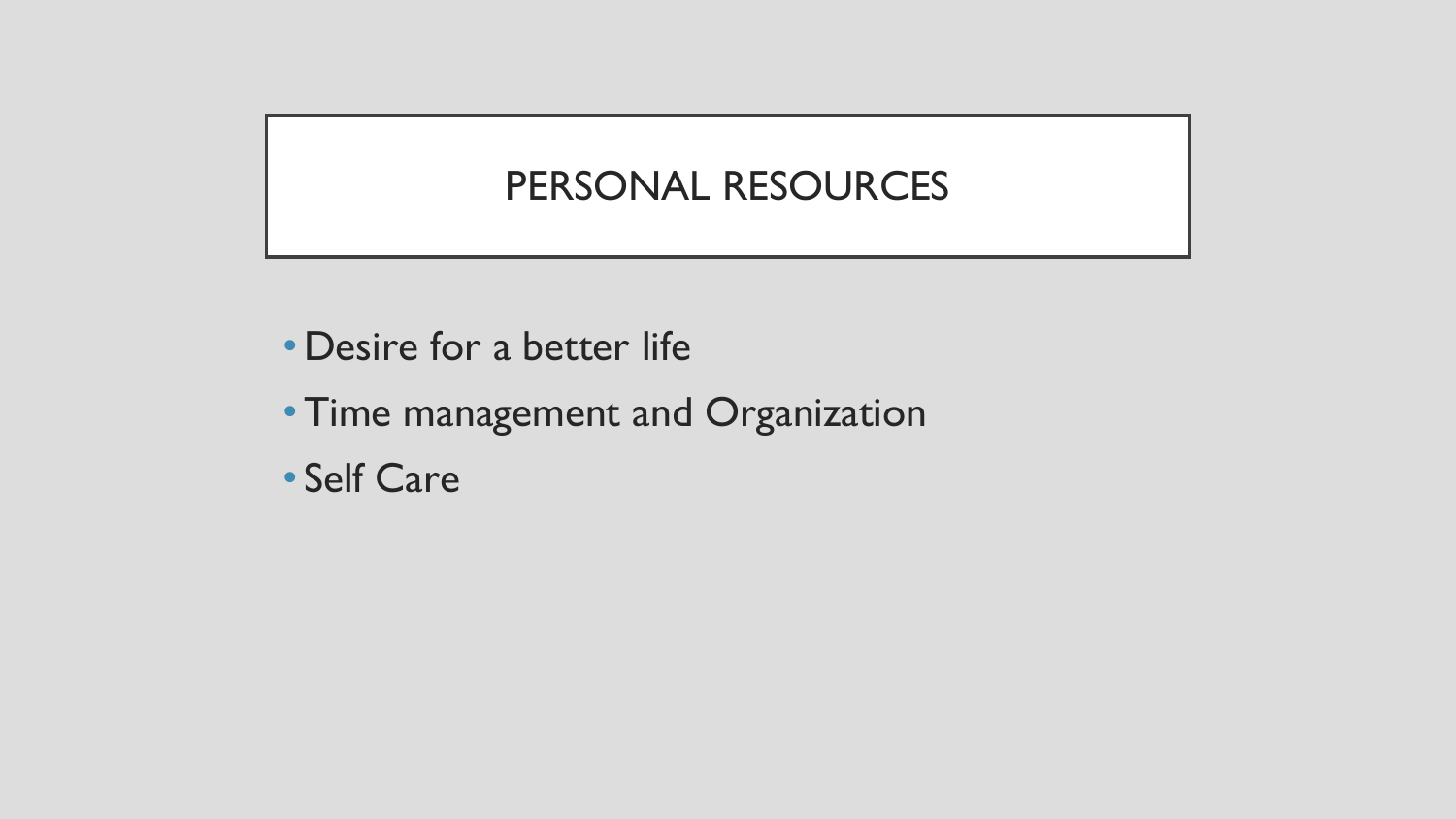#### PERSONAL RESOURCES

- •Desire for a better life
- •Time management and Organization
- Self Care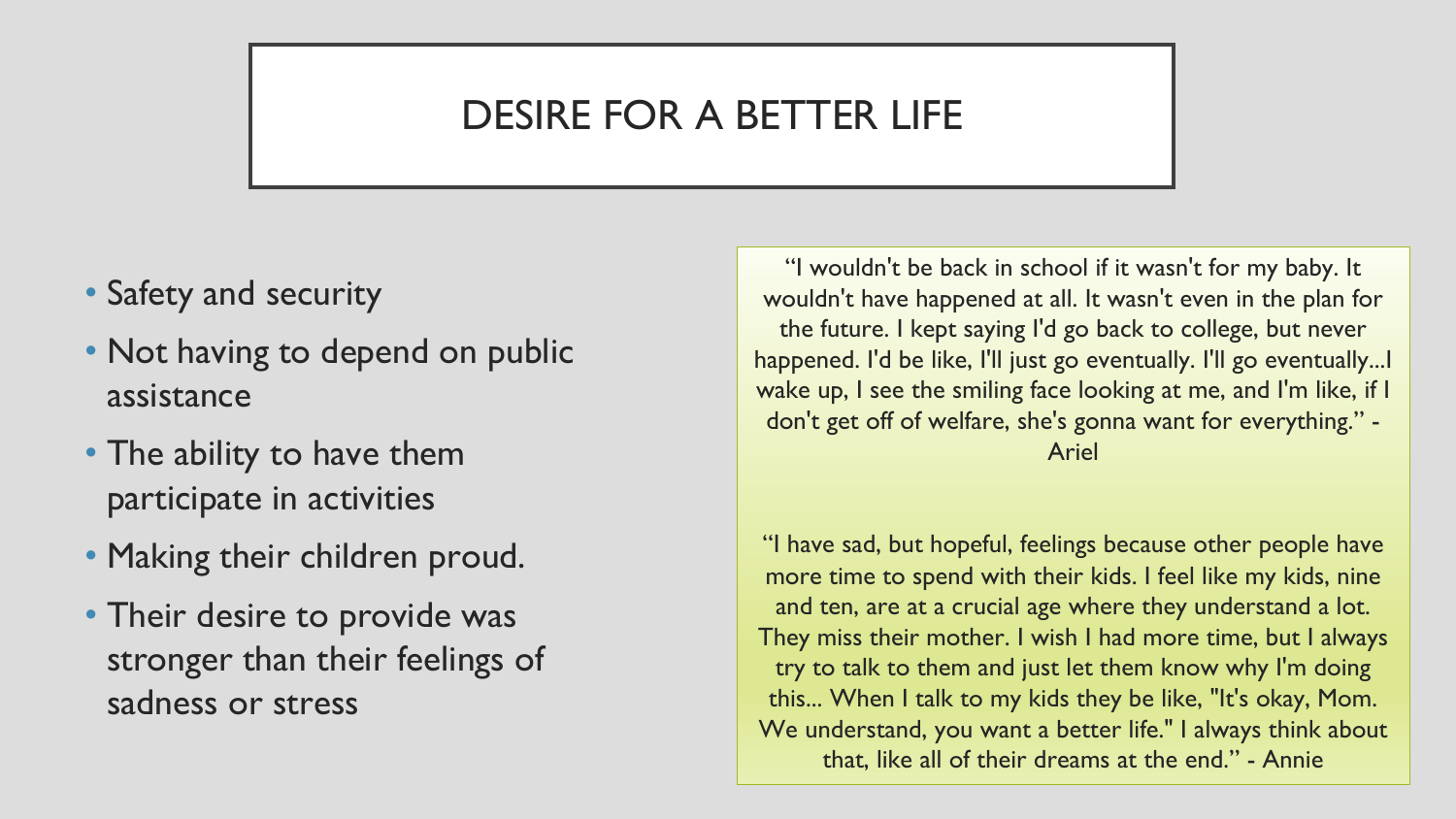### DESIRE FOR A BETTER LIFE

- Safety and security
- Not having to depend on public assistance
- The ability to have them participate in activities
- Making their children proud.
- Their desire to provide was stronger than their feelings of sadness or stress

"I wouldn't be back in school if it wasn't for my baby. It wouldn't have happened at all. It wasn't even in the plan for the future. I kept saying I'd go back to college, but never happened. I'd be like, I'll just go eventually. I'll go eventually...I wake up, I see the smiling face looking at me, and I'm like, if I don't get off of welfare, she's gonna want for everything." - Ariel

"I have sad, but hopeful, feelings because other people have more time to spend with their kids. I feel like my kids, nine and ten, are at a crucial age where they understand a lot. They miss their mother. I wish I had more time, but I always try to talk to them and just let them know why I'm doing this... When I talk to my kids they be like, "It's okay, Mom. We understand, you want a better life." I always think about that, like all of their dreams at the end." - Annie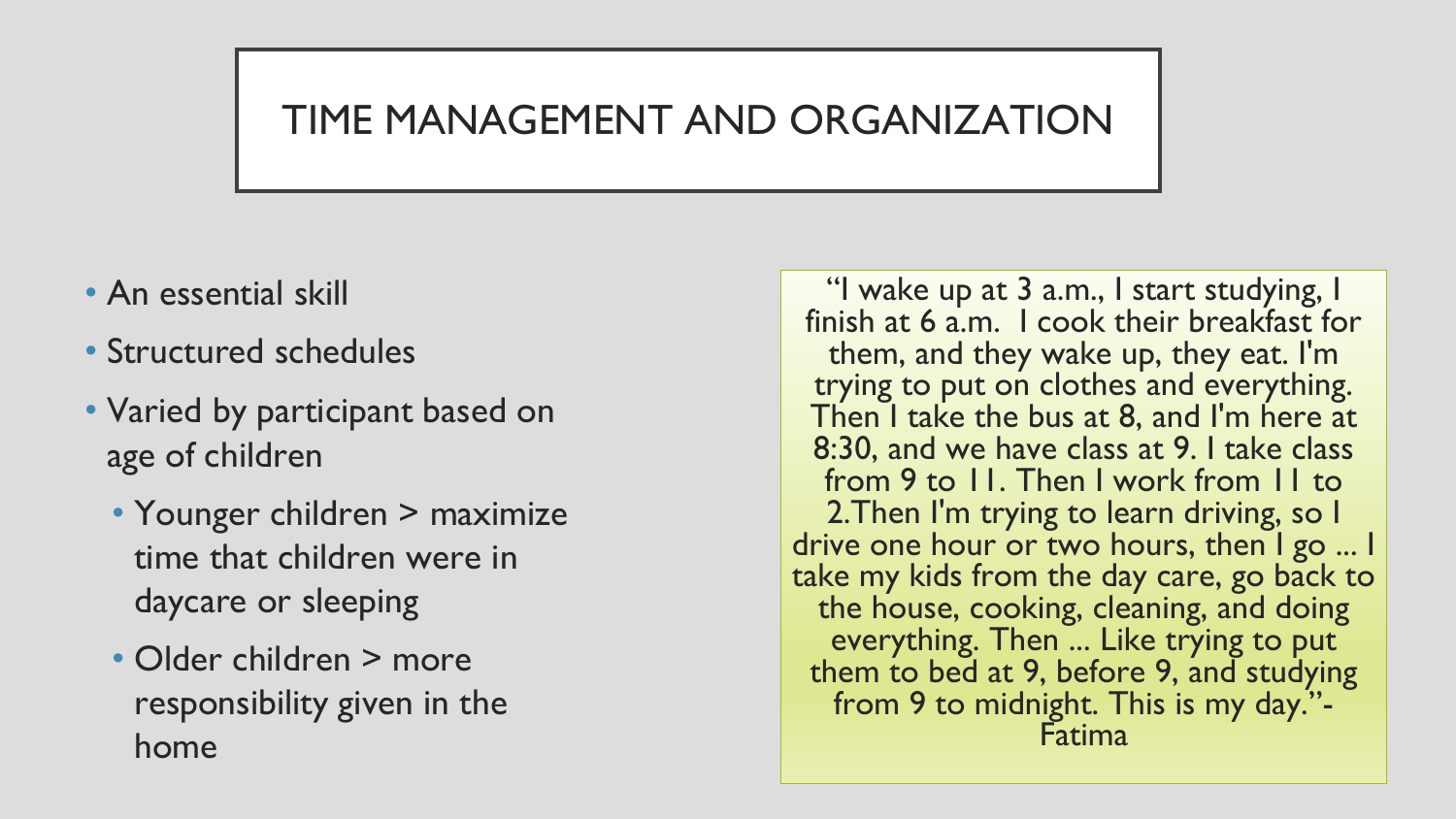#### TIME MANAGEMENT AND ORGANIZATION

- An essential skill
- Structured schedules
- Varied by participant based on age of children
	- Younger children > maximize time that children were in daycare or sleeping
	- Older children > more responsibility given in the home

"I wake up at 3 a.m., I start studying, I finish at 6 a.m. I cook their breakfast for them, and they wake up, they eat. I'm trying to put on clothes and everything. Then I take the bus at 8, and I'm here at 8:30, and we have class at 9. I take class from 9 to 11. Then I work from 11 to 2.Then I'm trying to learn driving, so I drive one hour or two hours, then I go ... I take my kids from the day care, go back to the house, cooking, cleaning, and doing everything. Then ... Like trying to put them to bed at 9, before 9, and studying from 9 to midnight. This is my day."- Fatima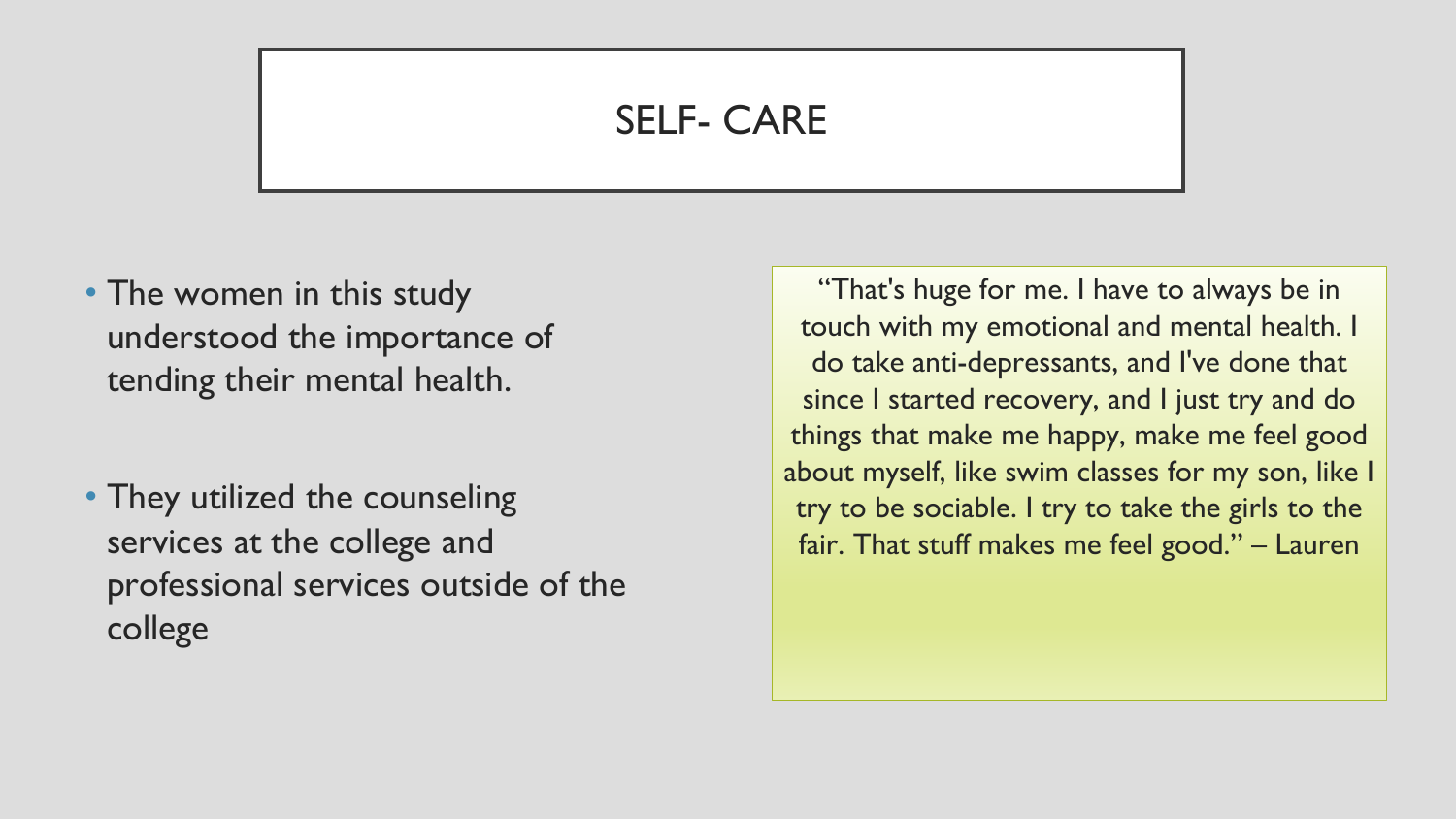#### SELF- CARE

- The women in this study understood the importance of tending their mental health.
- They utilized the counseling services at the college and professional services outside of the college

"That's huge for me. I have to always be in touch with my emotional and mental health. I do take anti-depressants, and I've done that since I started recovery, and I just try and do things that make me happy, make me feel good about myself, like swim classes for my son, like I try to be sociable. I try to take the girls to the fair. That stuff makes me feel good." – Lauren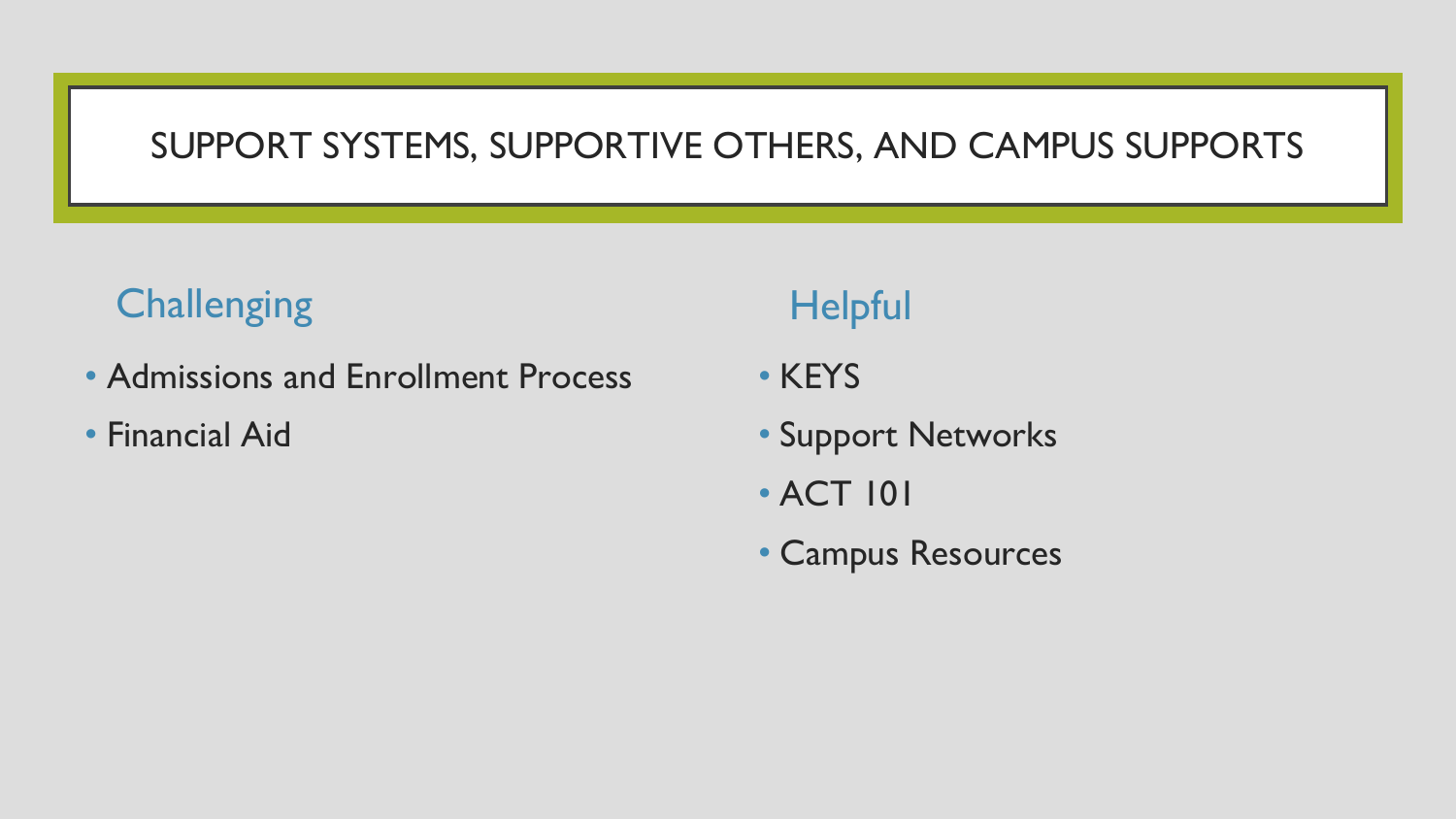#### SUPPORT SYSTEMS, SUPPORTIVE OTHERS, AND CAMPUS SUPPORTS

### **Challenging**

- Admissions and Enrollment Process
- Financial Aid

### **Helpful**

- KEYS
- Support Networks
- ACT 101
- Campus Resources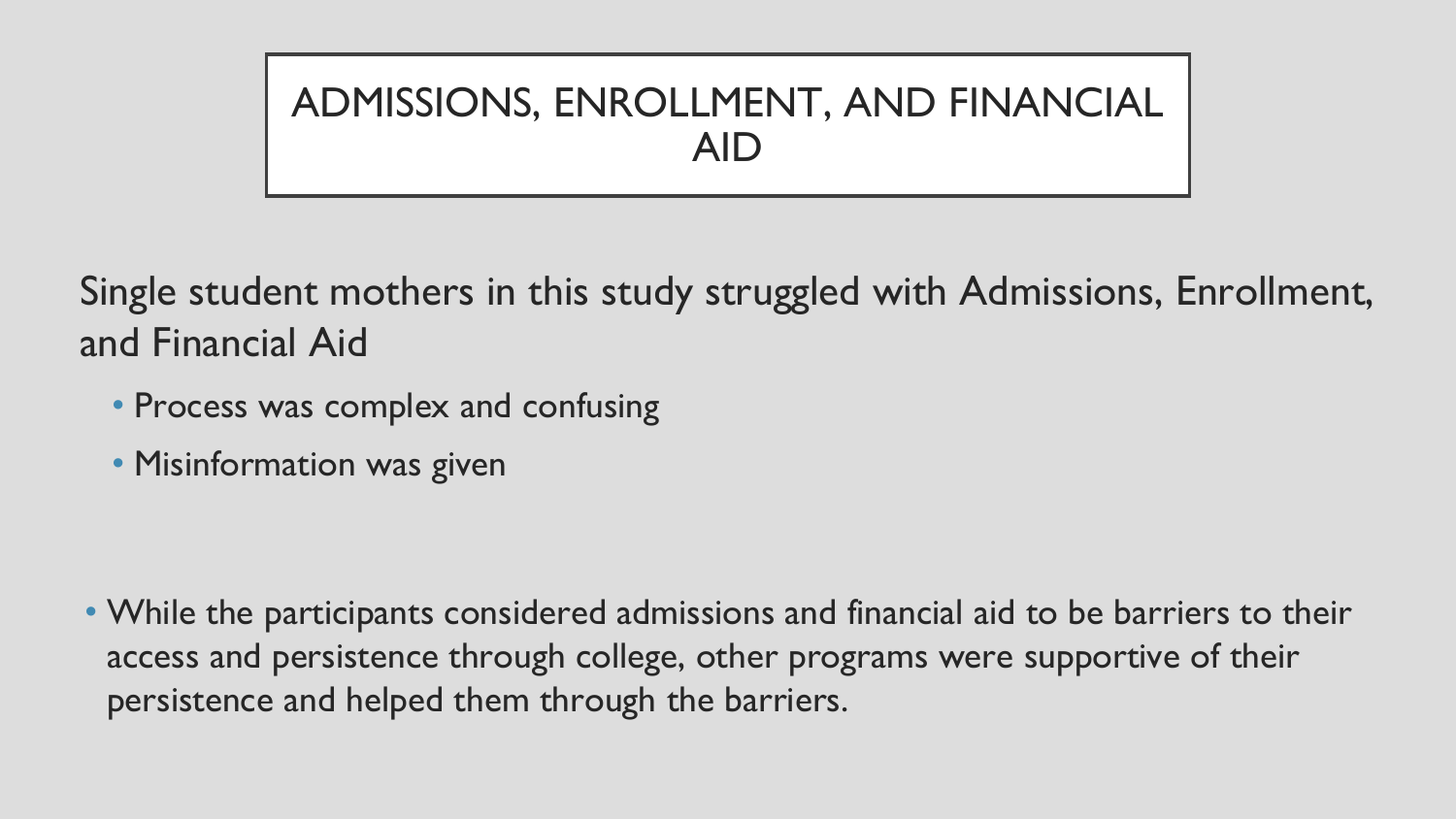## ADMISSIONS, ENROLLMENT, AND FINANCIAL AID

Single student mothers in this study struggled with Admissions, Enrollment, and Financial Aid

- Process was complex and confusing
- Misinformation was given

• While the participants considered admissions and financial aid to be barriers to their access and persistence through college, other programs were supportive of their persistence and helped them through the barriers.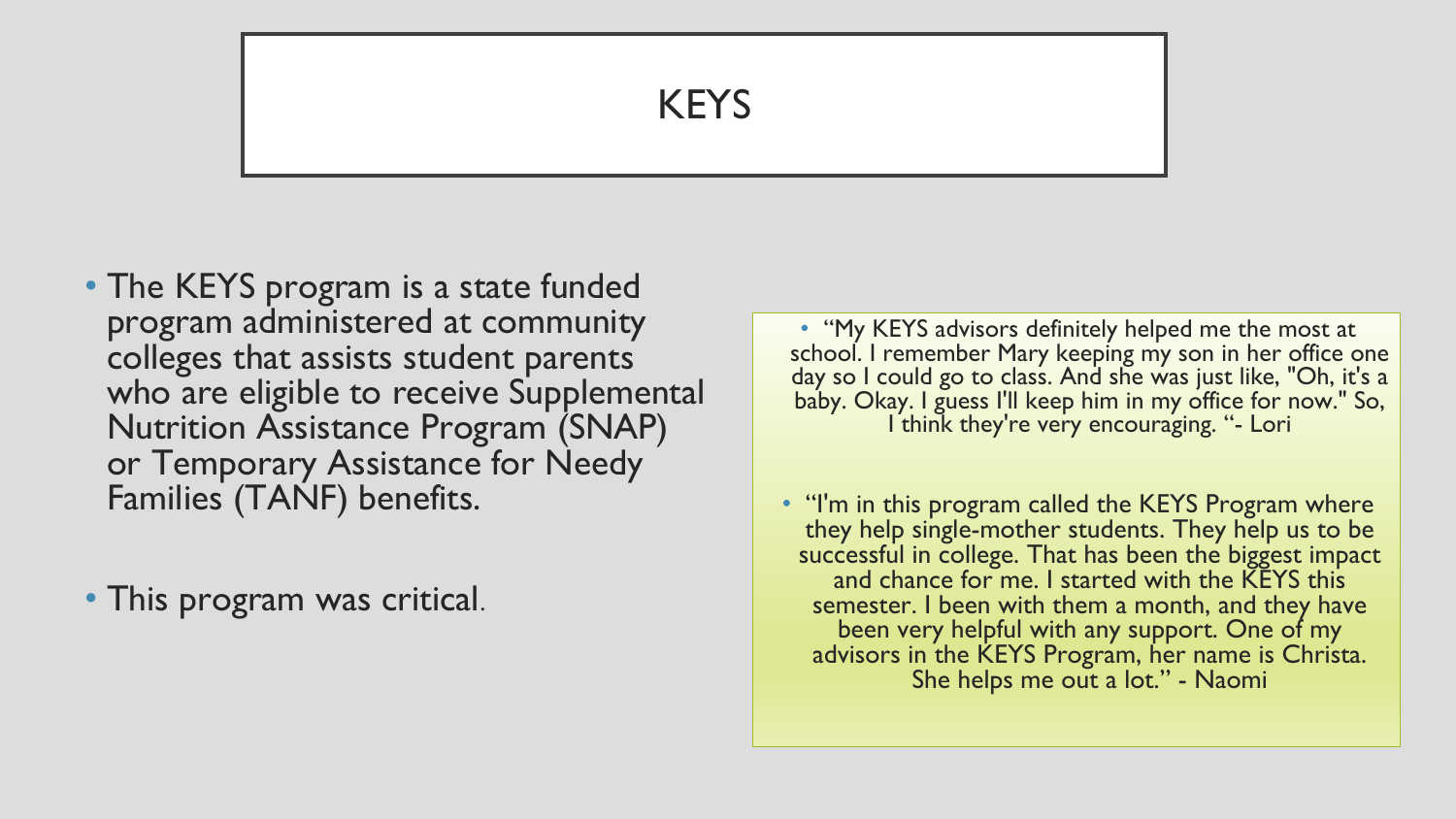#### KEYS

• The KEYS program is a state funded program administered at community colleges that assists student parents who are eligible to receive Supplemental Nutrition Assistance Program (SNAP) or Temporary Assistance for Needy Families (TANF) benefits.

• This program was critical.

• "My KEYS advisors definitely helped me the most at school. I remember Mary keeping my son in her office one day so I could go to class. And she was just like, "Oh, it's a baby. Okay. I guess I'll keep him in my office for now." So, I think they're very encouraging. "- Lori

• "I'm in this program called the KEYS Program where they help single-mother students. They help us to be successful in college. That has been the biggest impact and chance for me. I started with the KEYS this semester. I been with them a month, and they have been very helpful with any support. One of my advisors in the KEYS Program, her name is Christa. She helps me out a lot." - Naomi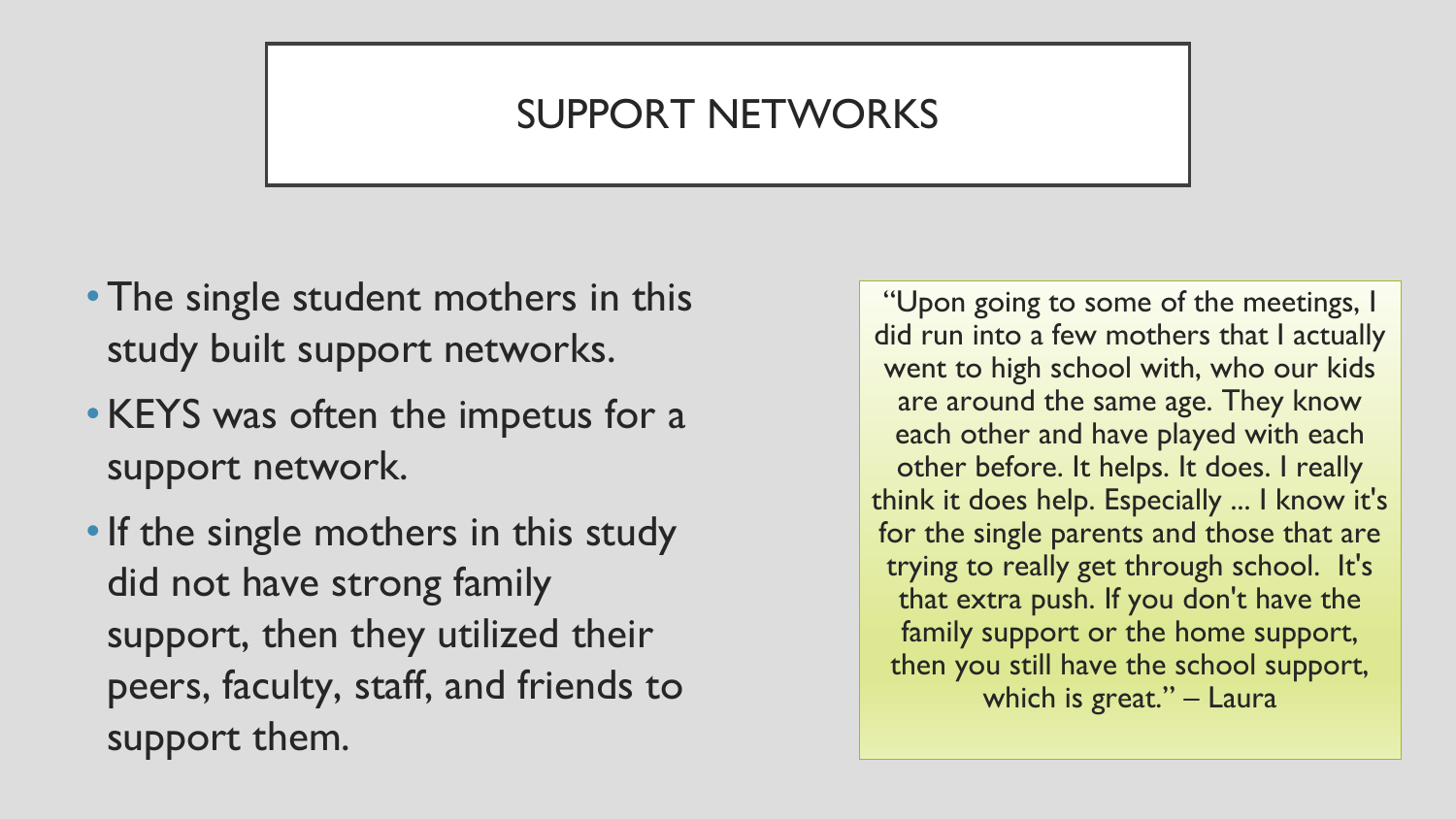### SUPPORT NETWORKS

- The single student mothers in this study built support networks.
- KEYS was often the impetus for a support network.
- If the single mothers in this study did not have strong family support, then they utilized their peers, faculty, staff, and friends to support them.

"Upon going to some of the meetings, I did run into a few mothers that I actually went to high school with, who our kids are around the same age. They know each other and have played with each other before. It helps. It does. I really think it does help. Especially ... I know it's for the single parents and those that are trying to really get through school. It's that extra push. If you don't have the family support or the home support, then you still have the school support, which is great." - Laura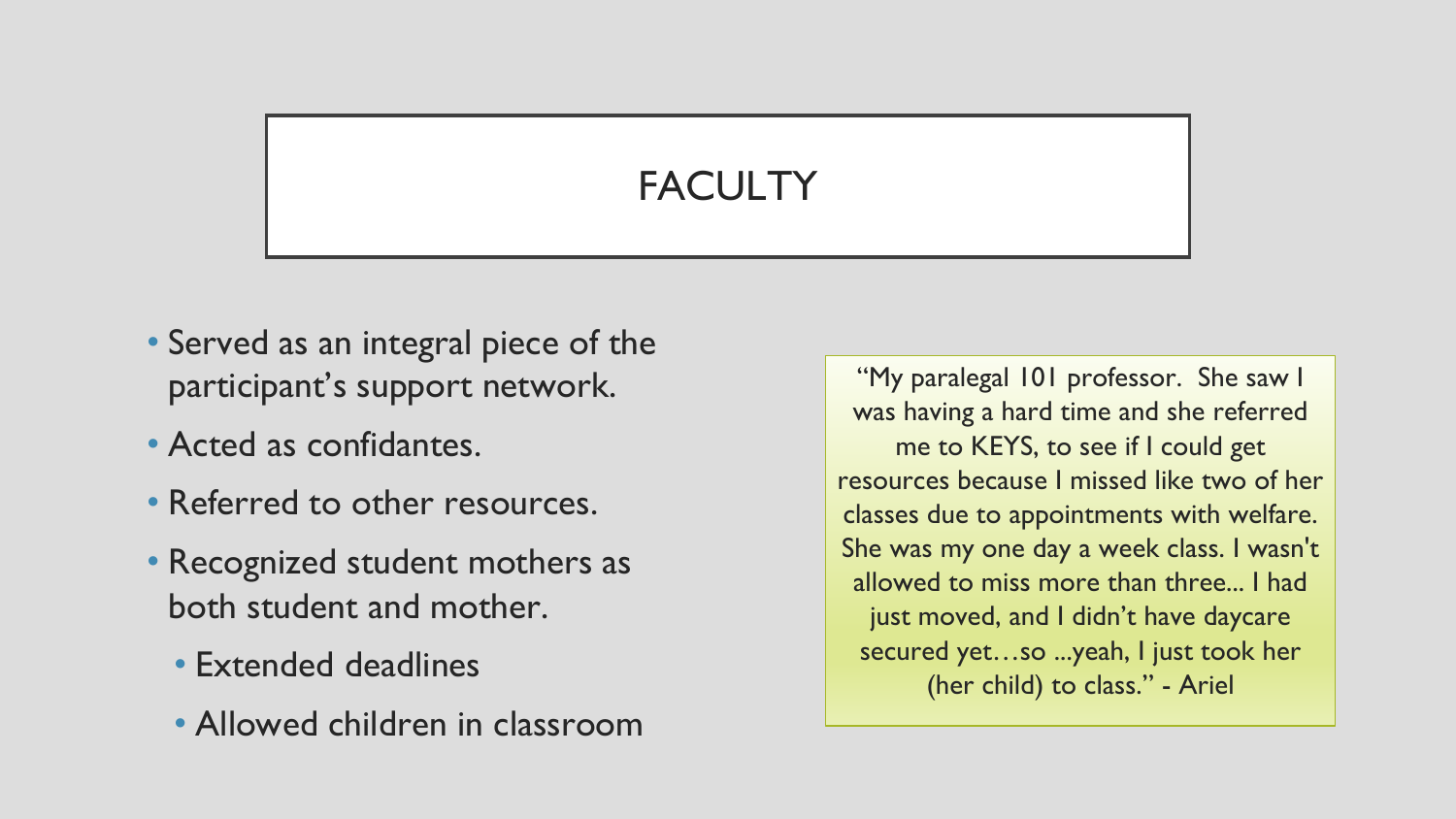### **FACULTY**

- Served as an integral piece of the participant's support network.
- Acted as confidantes.
- Referred to other resources.
- Recognized student mothers as both student and mother.
	- Extended deadlines
	- Allowed children in classroom

"My paralegal 101 professor. She saw I was having a hard time and she referred me to KEYS, to see if I could get resources because I missed like two of her classes due to appointments with welfare. She was my one day a week class. I wasn't allowed to miss more than three... I had just moved, and I didn't have daycare secured yet…so ...yeah, I just took her (her child) to class." - Ariel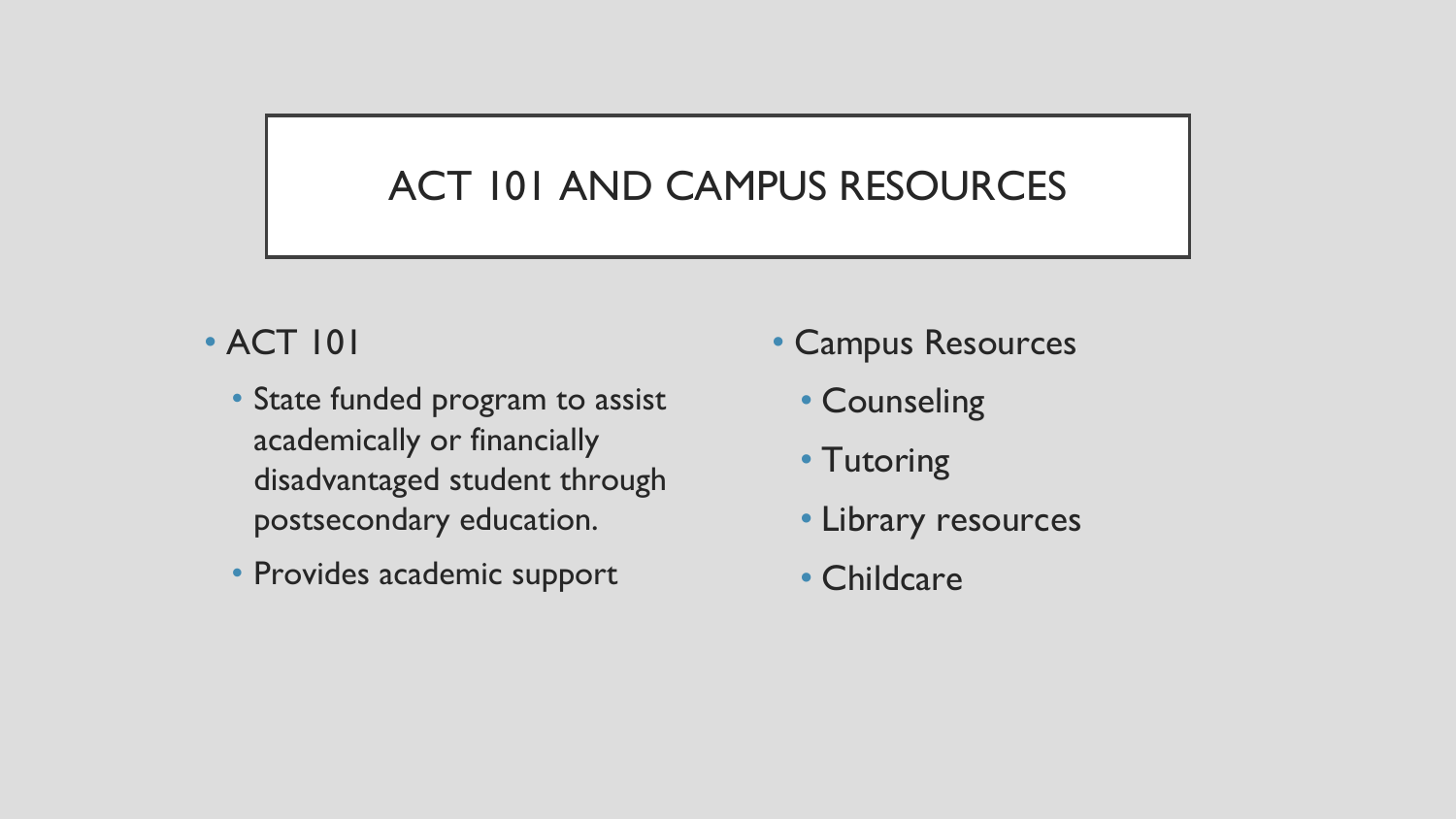### ACT 101 AND CAMPUS RESOURCES

#### • ACT 101

- State funded program to assist academically or financially disadvantaged student through postsecondary education.
- Provides academic support
- Campus Resources
	- Counseling
	- Tutoring
	- Library resources
	- Childcare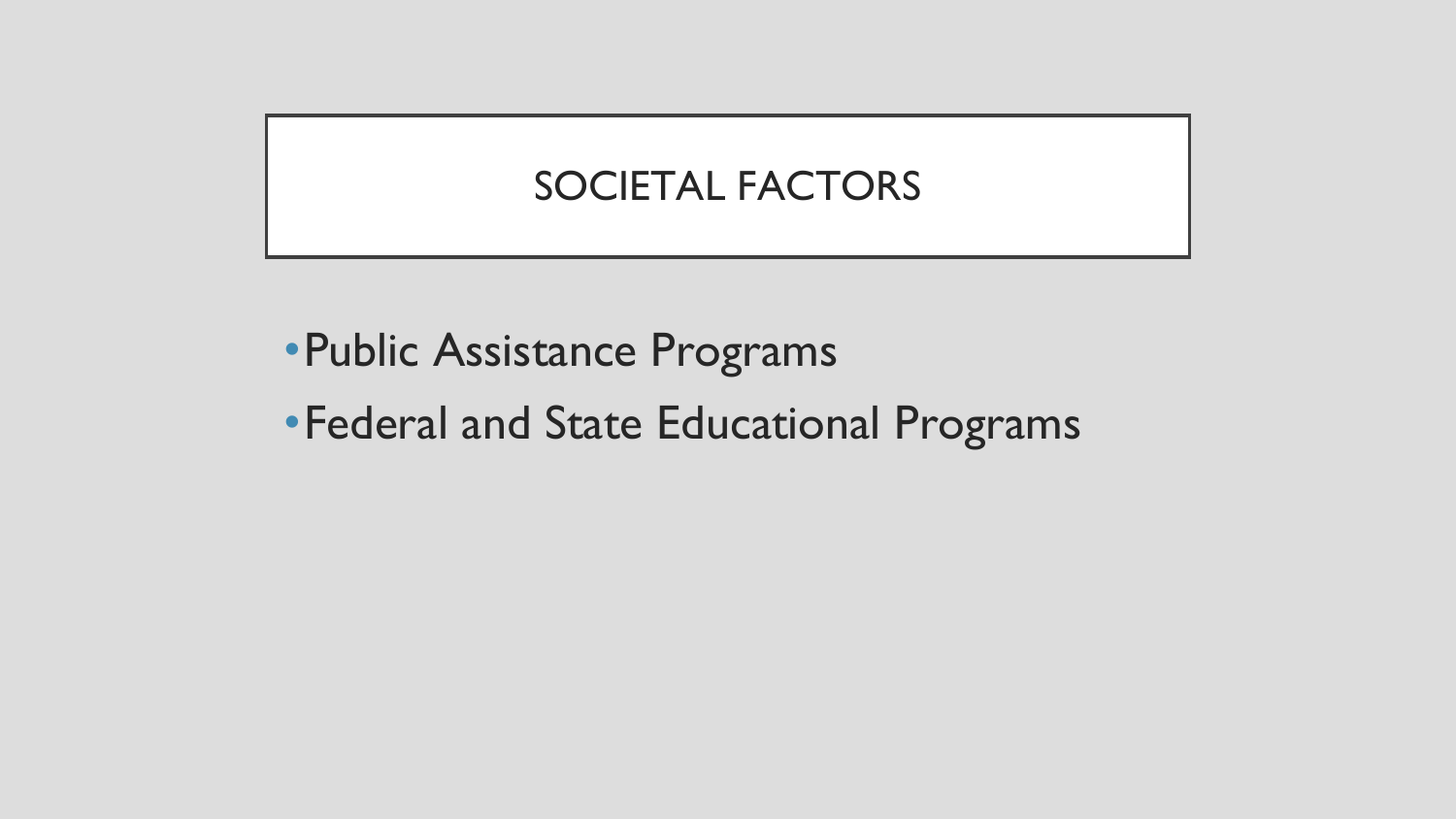### SOCIETAL FACTORS

- •Public Assistance Programs
- •Federal and State Educational Programs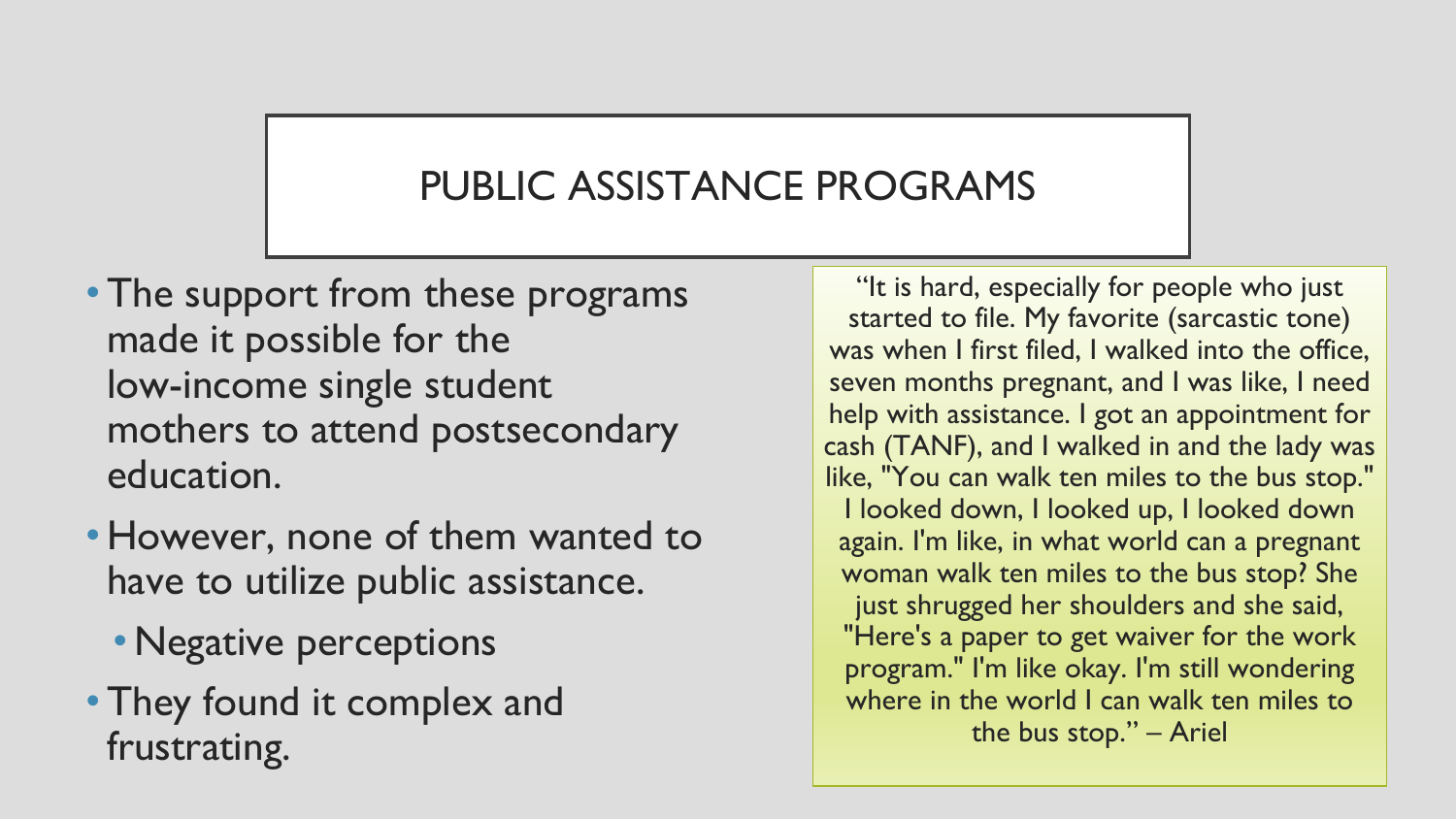### PUBLIC ASSISTANCE PROGRAMS

- The support from these programs made it possible for the low-income single student mothers to attend postsecondary education.
- However, none of them wanted to have to utilize public assistance.
	- Negative perceptions
- •They found it complex and frustrating.

"It is hard, especially for people who just started to file. My favorite (sarcastic tone) was when I first filed, I walked into the office, seven months pregnant, and I was like, I need help with assistance. I got an appointment for cash (TANF), and I walked in and the lady was like, "You can walk ten miles to the bus stop." I looked down, I looked up, I looked down again. I'm like, in what world can a pregnant woman walk ten miles to the bus stop? She just shrugged her shoulders and she said, "Here's a paper to get waiver for the work program." I'm like okay. I'm still wondering where in the world I can walk ten miles to the bus stop." – Ariel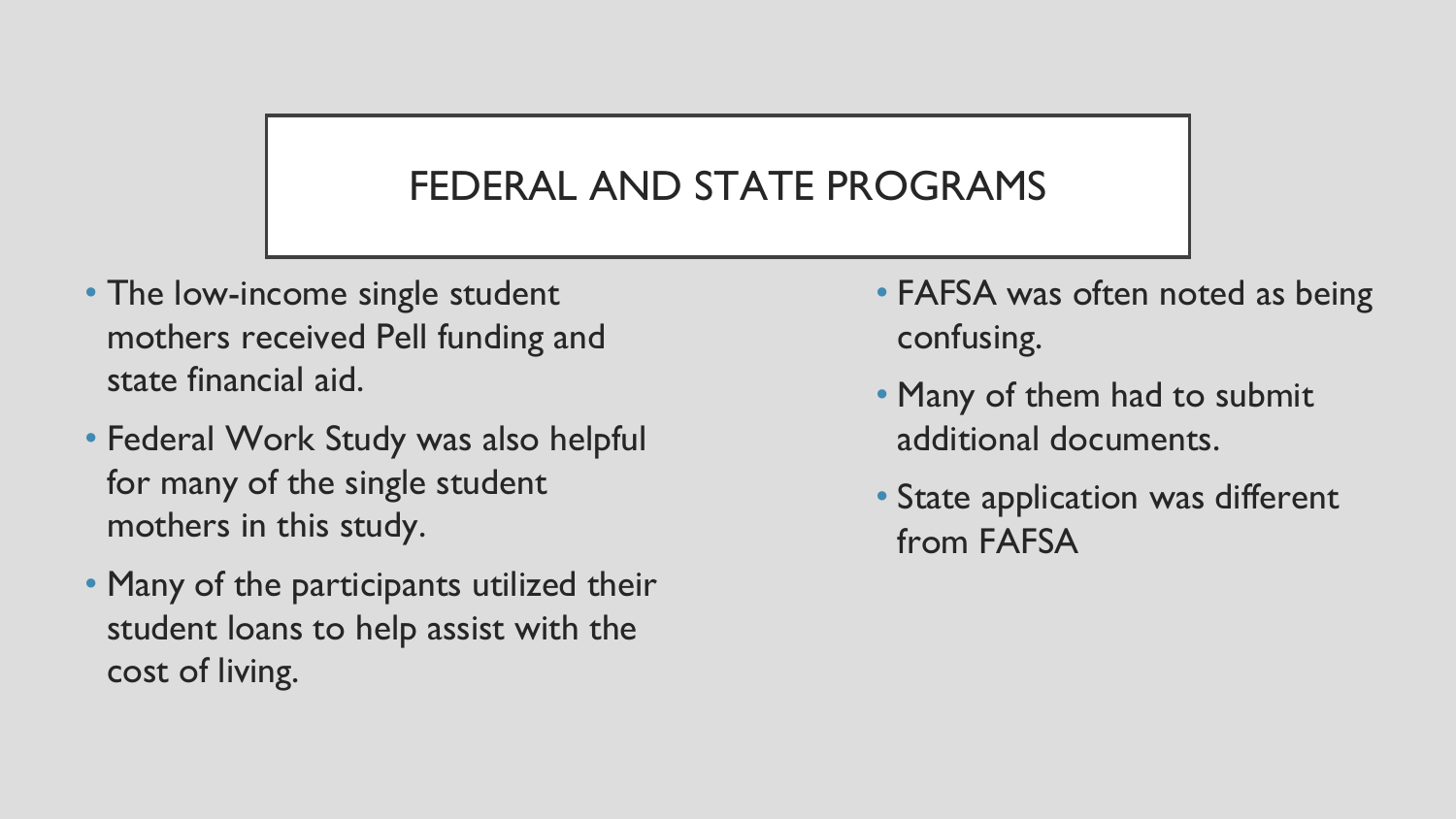## FEDERAL AND STATE PROGRAMS

- The low-income single student mothers received Pell funding and state financial aid.
- Federal Work Study was also helpful for many of the single student mothers in this study.
- Many of the participants utilized their student loans to help assist with the cost of living.
- FAFSA was often noted as being confusing.
- Many of them had to submit additional documents.
- State application was different from FAFSA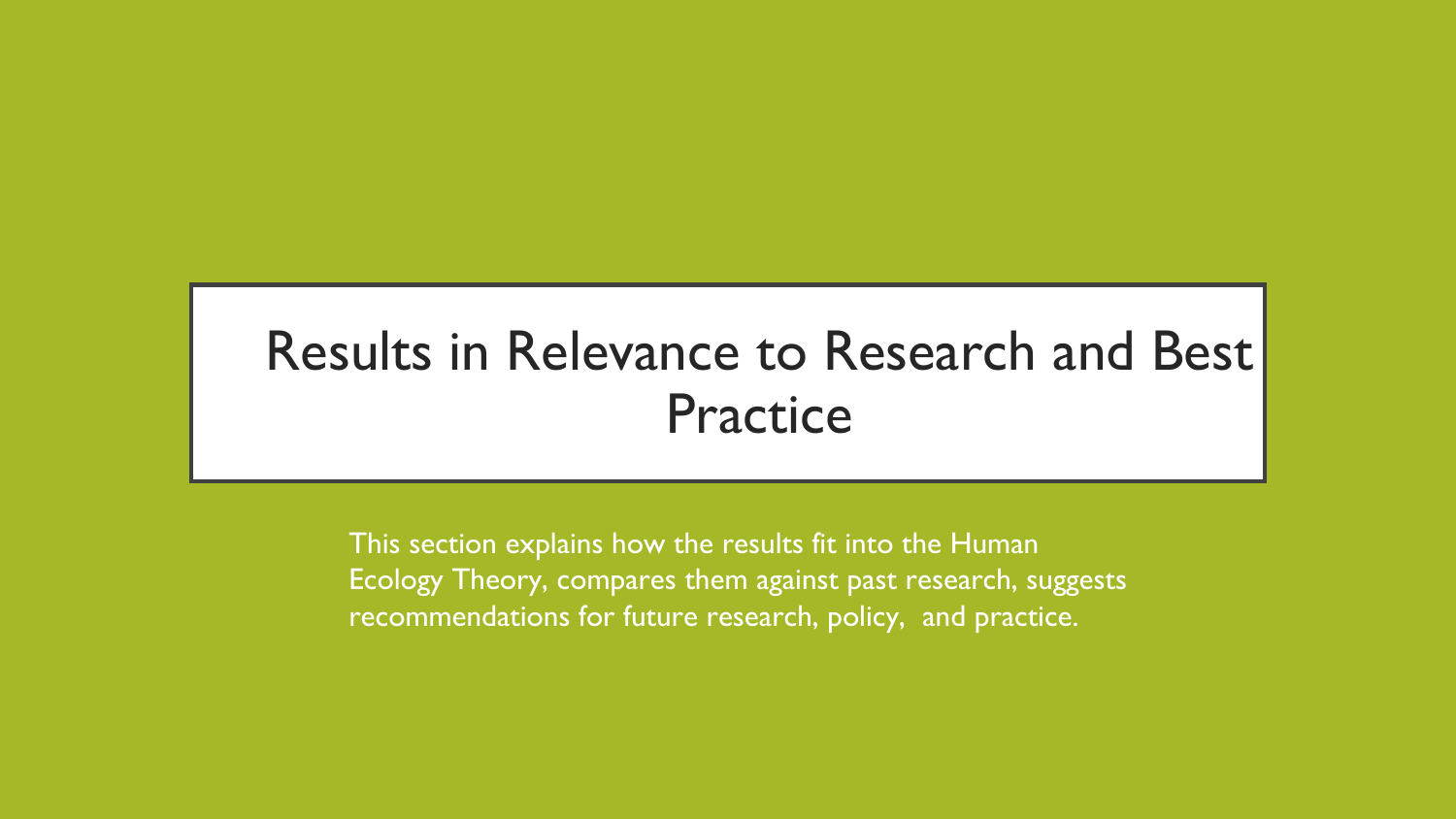# Results in Relevance to Research and Best Practice

This section explains how the results fit into the Human Ecology Theory, compares them against past research, suggests recommendations for future research, policy, and practice.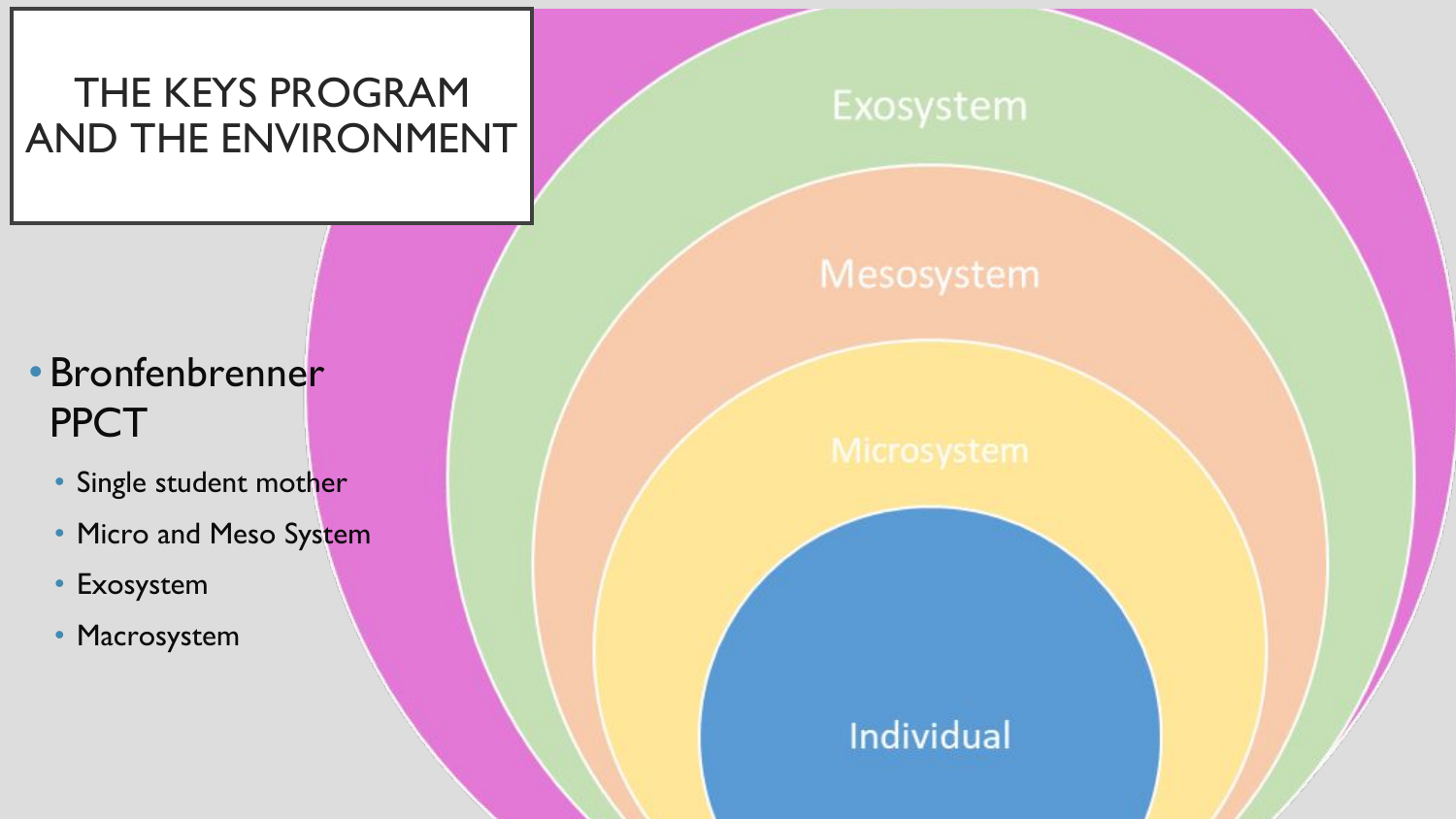### THE KEYS PROGRAM AND THE ENVIRONMENT

#### Exosystem

#### Mesosystem

## • Bronfenbrenner **PPCT**

- Single student mother
- Micro and Meso System
- **Exosystem**
- Macrosystem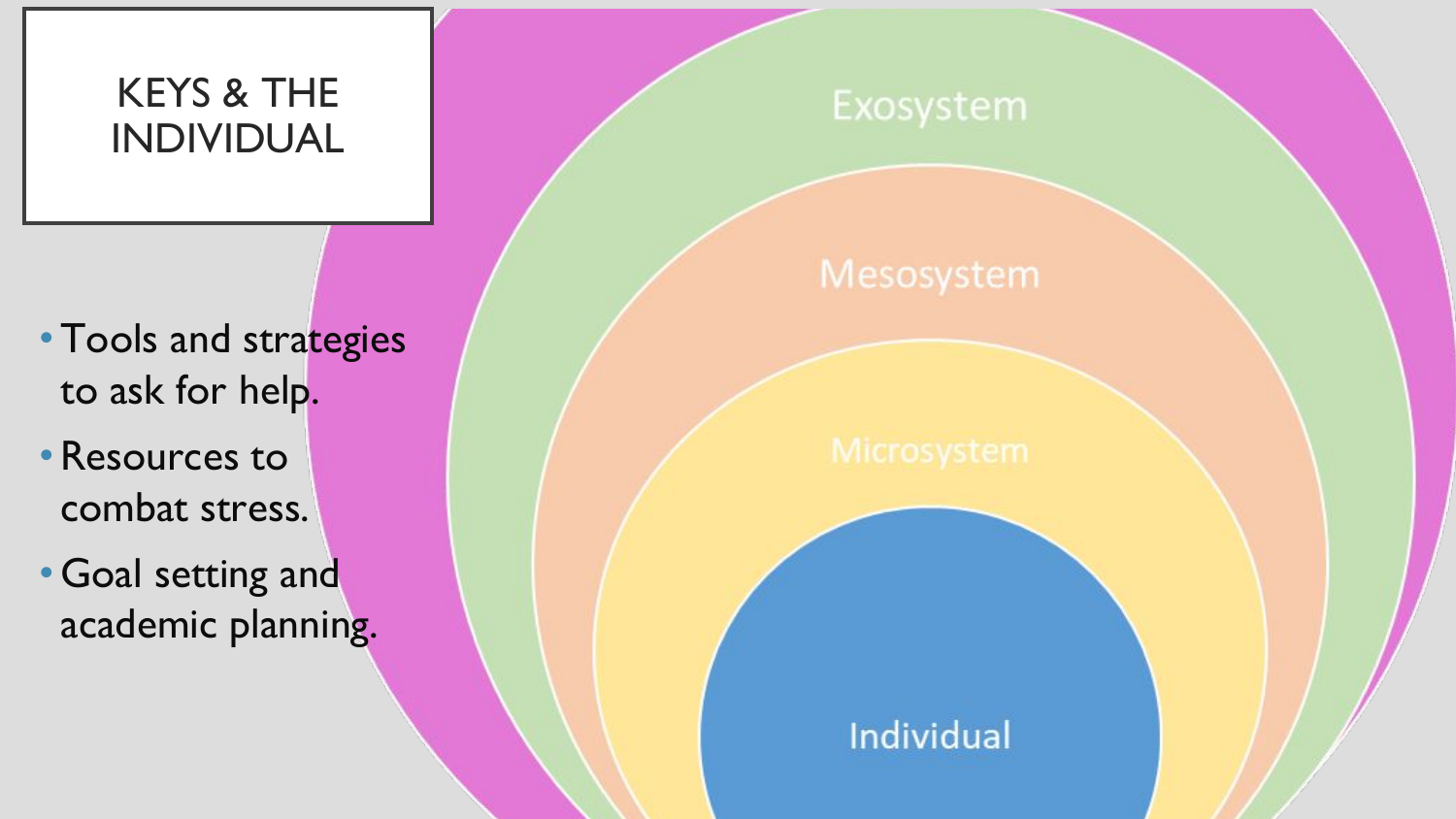### KEYS & THE INDIVIDUAL

- Tools and strategies to ask for help.
- •Resources to combat stress.
- •Goal setting and academic planning.

#### Exosystem

#### Mesosystem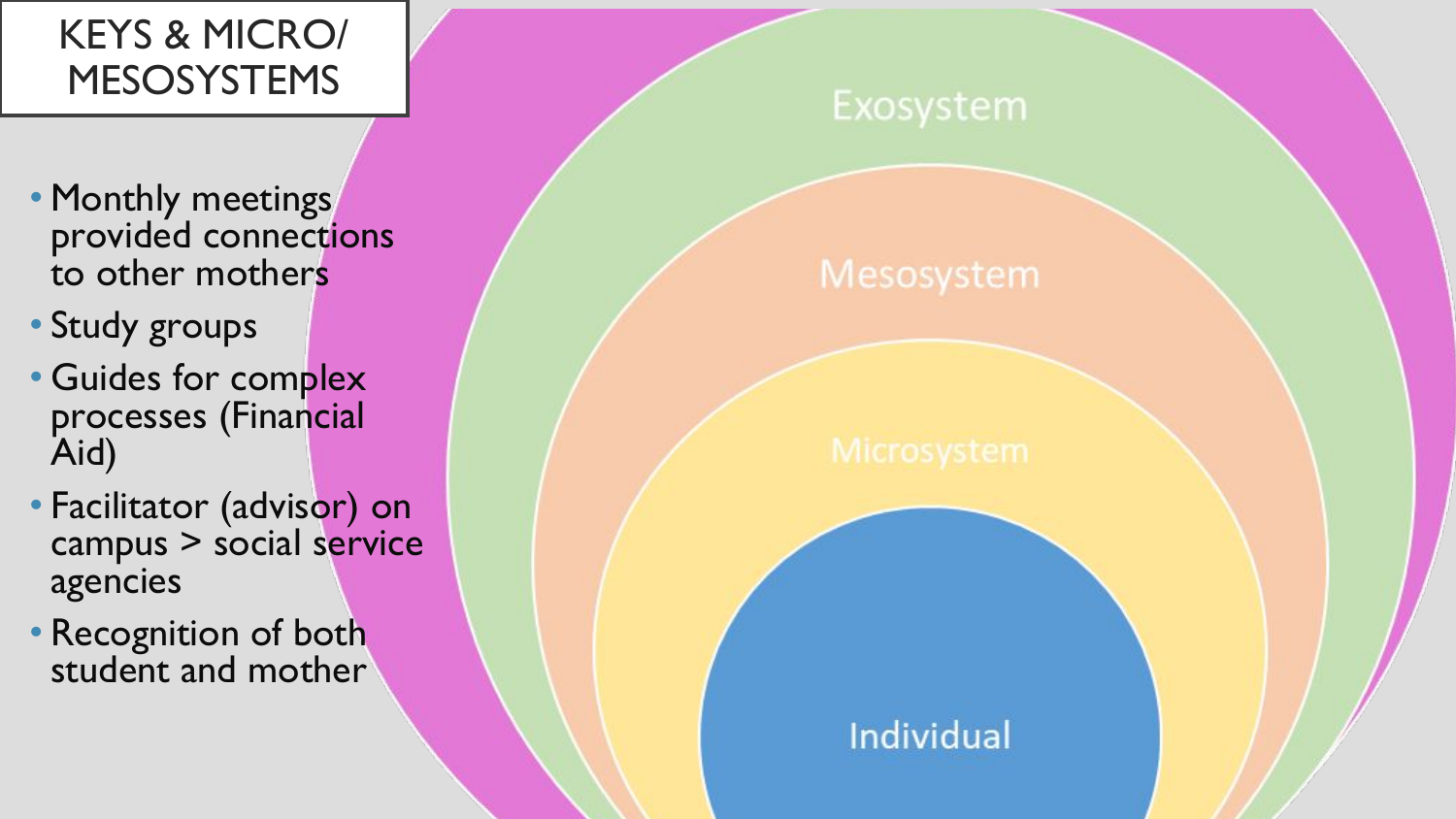### KEYS & MICRO/ MESOSYSTEMS

- Monthly meetings provided connections to other mothers
- Study groups
- Guides for complex processes (Financial Aid)
- Facilitator (advisor) on campus > social service agencies
- Recognition of both student and mother

#### Exosystem

#### Mesosystem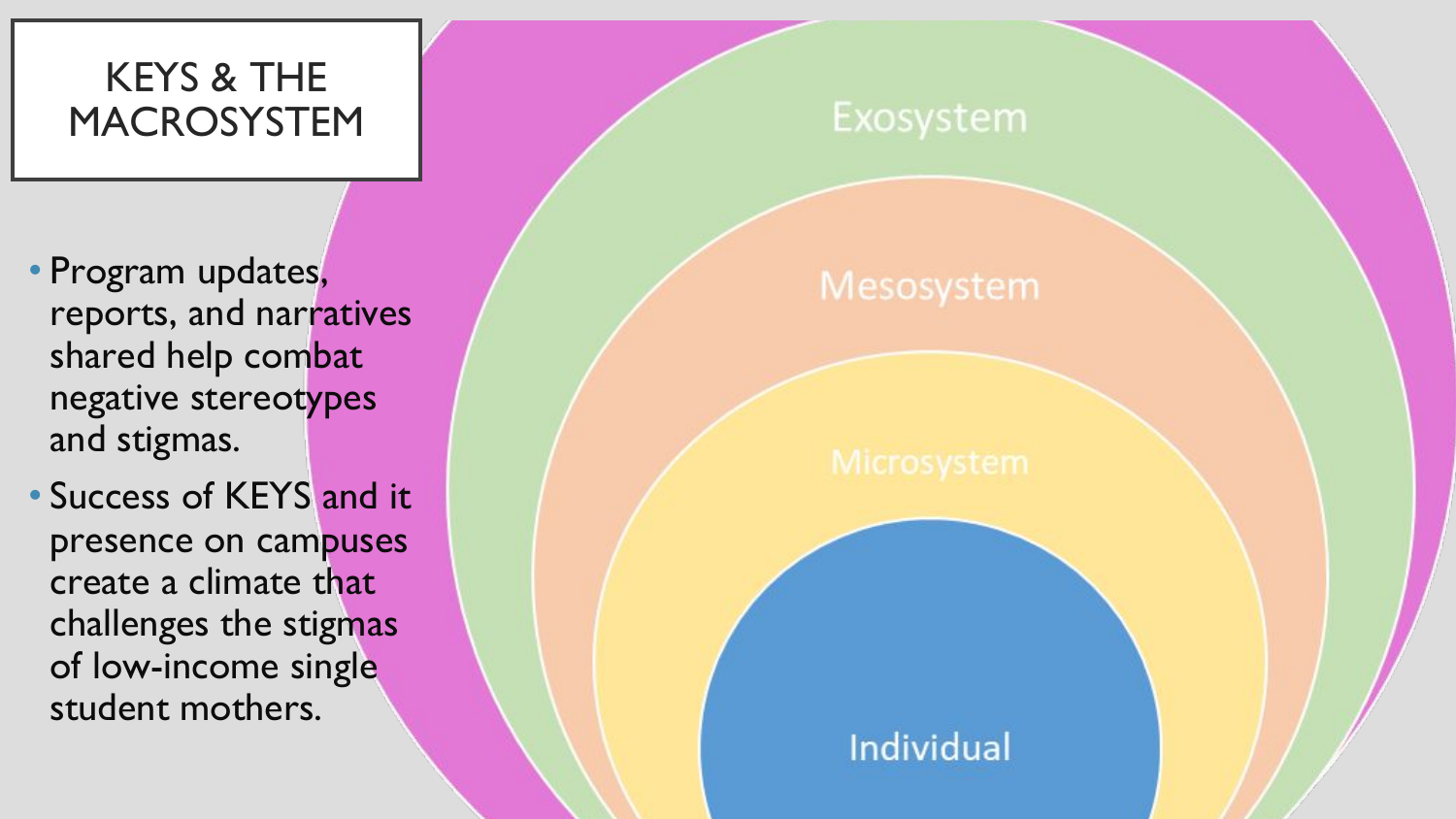#### KEYS & THE MACROSYSTEM

• Program updates, reports, and narratives shared help combat negative stereotypes and stigmas.

• Success of KEYS and it presence on campuses create a climate that challenges the stigmas of low-income single student mothers.

#### Exosystem

#### Mesosystem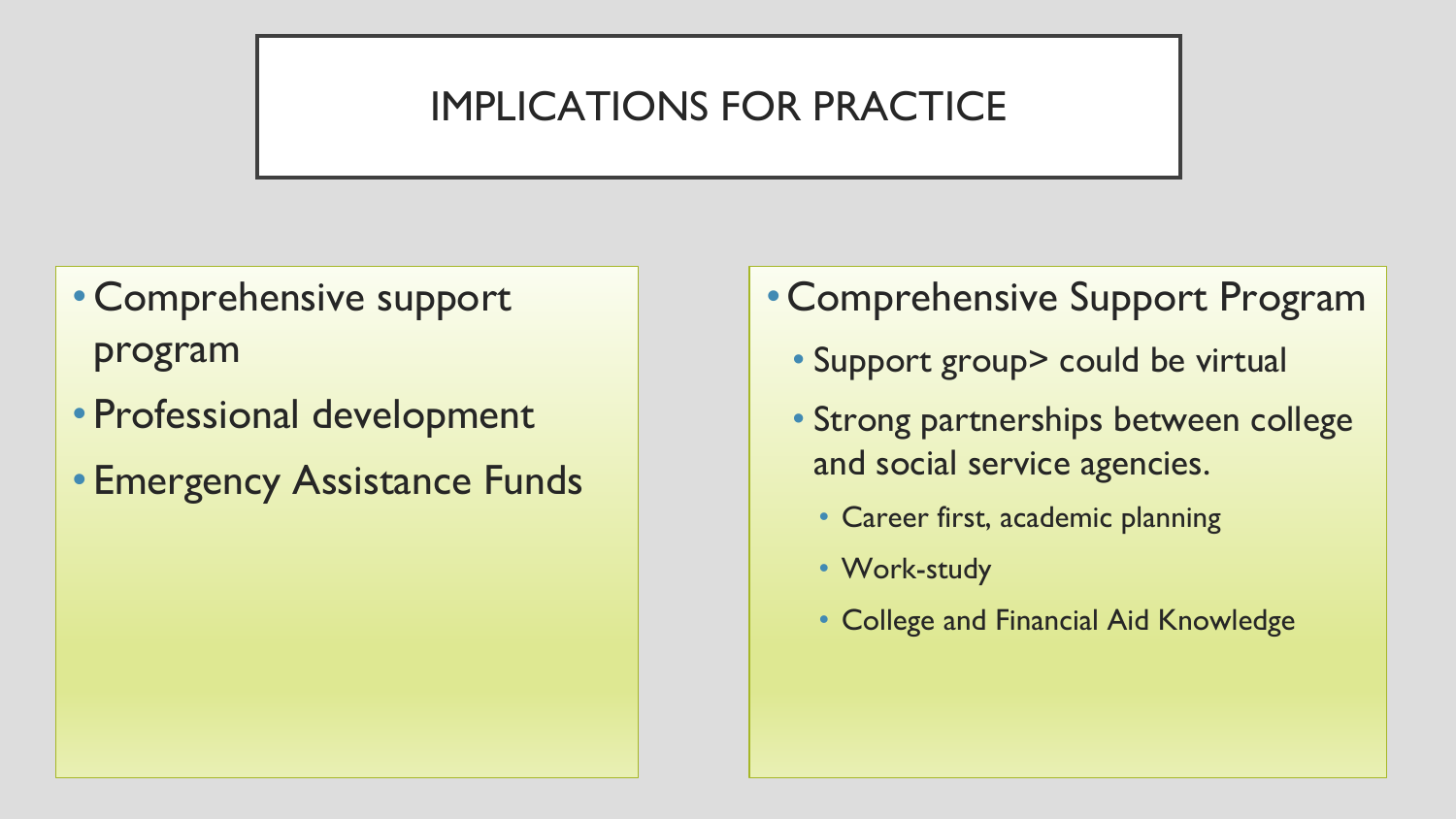### IMPLICATIONS FOR PRACTICE

- Comprehensive support program
- Professional development
- Emergency Assistance Funds
- Comprehensive Support Program
	- Support group> could be virtual
	- Strong partnerships between college and social service agencies.
		- Career first, academic planning
		- Work-study
		- College and Financial Aid Knowledge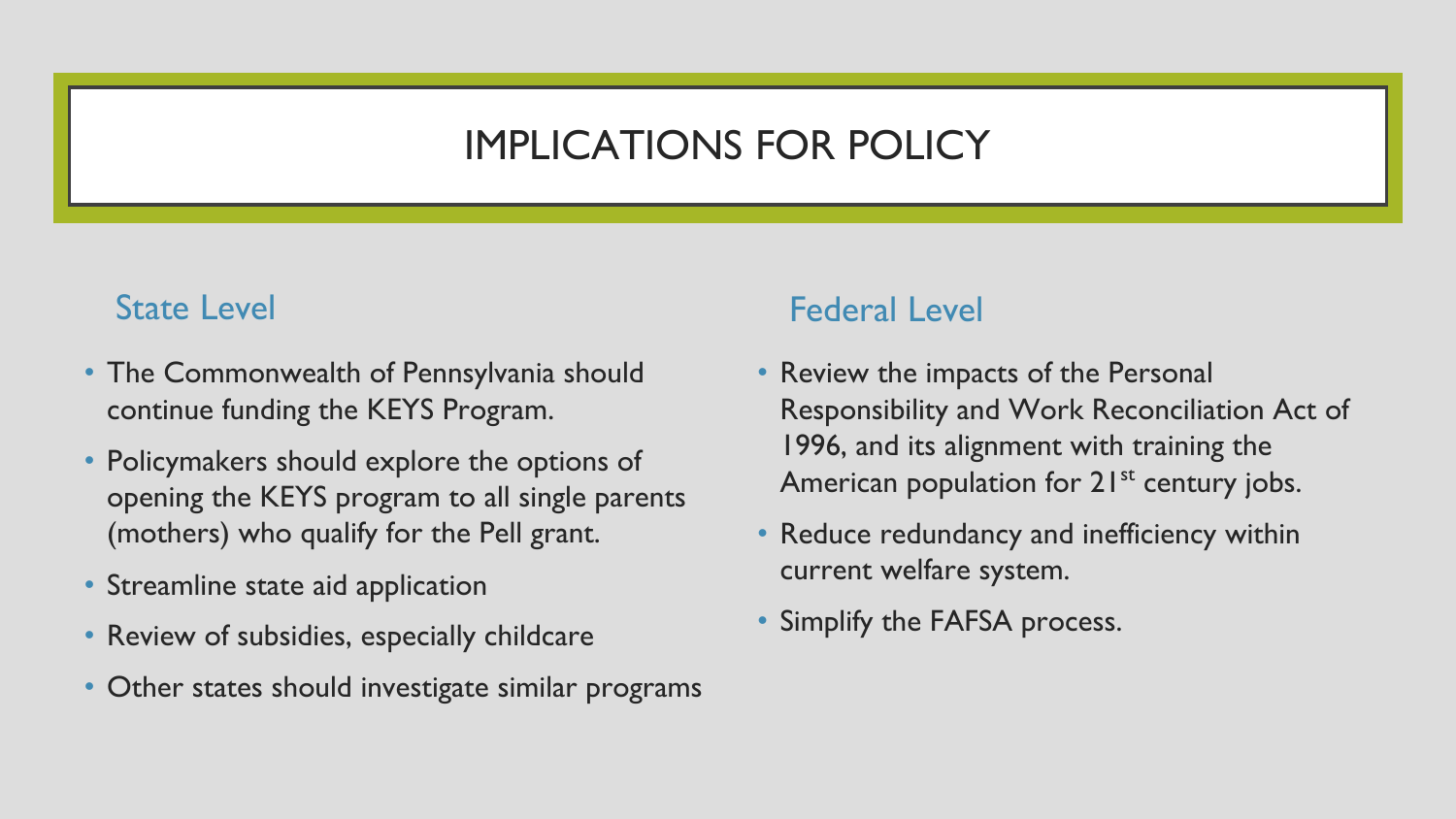#### IMPLICATIONS FOR POLICY

#### State Level

- The Commonwealth of Pennsylvania should continue funding the KEYS Program.
- Policymakers should explore the options of opening the KEYS program to all single parents (mothers) who qualify for the Pell grant.
- Streamline state aid application
- Review of subsidies, especially childcare
- Other states should investigate similar programs

#### Federal Level

- Review the impacts of the Personal Responsibility and Work Reconciliation Act of 1996, and its alignment with training the American population for  $21^{st}$  century jobs.
- Reduce redundancy and inefficiency within current welfare system.
- Simplify the FAFSA process.